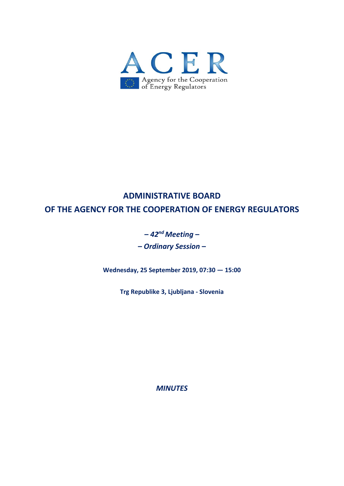

# **ADMINISTRATIVE BOARD OF THE AGENCY FOR THE COOPERATION OF ENERGY REGULATORS**

# **–** *42nd Meeting* **–**

**–** *Ordinary Session* **–** 

**Wednesday, 25 September 2019, 07:30 — 15:00** 

**Trg Republike 3, Ljubljana ‐ Slovenia** 

*MINUTES*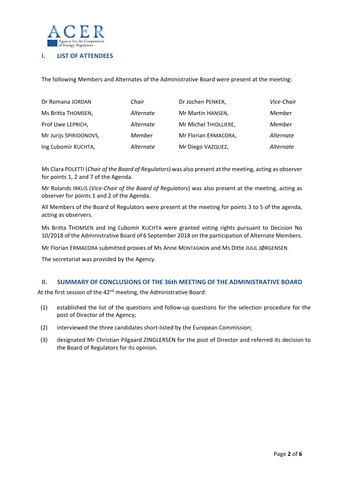

# **I. LIST OF ATTENDEES**

The following Members and Alternates of the Administrative Board were present at the meeting:

| Dr Romana JORDAN       | Chair     | Dr Jochen PENKER,     | Vice-Chair |
|------------------------|-----------|-----------------------|------------|
| Ms Britta THOMSEN,     | Alternate | Mr Martin HANSEN,     | Member     |
| Prof Uwe LEPRICH,      | Alternate | Mr Michel THIOLLIERE, | Member     |
| Mr Jurijs SPIRIDONOVS, | Member    | Mr Florian ERMACORA,  | Alternate  |
| Ing Ľubomír KUCHTA,    | Alternate | Mr Diego VAZQUEZ,     | Alternate  |

Ms Clara POLETTI (*Chair of the Board of Regulators*) was also present at the meeting, acting as observer for points 1, 2 and 7 of the Agenda.

Mr Rolands IRKLIS (*Vice‐Chair of the Board of Regulators*) was also present at the meeting, acting as observer for points 1 and 2 of the Agenda.

All Members of the Board of Regulators were present at the meeting for points 3 to 5 of the agenda, acting as observers.

Ms Britta THOMSEN and Ing Ľubomír KUCHTA were granted voting rights pursuant to Decision No 10/2018 of the Administrative Board of 6 September 2018 on the participation of Alternate Members.

Mr Florian ERMACORA submitted proxies of Ms Anne MONTAGNON and Ms Ditte JUUL JØRGENSEN.

The secretariat was provided by the Agency.

#### **II. SUMMARY OF CONCLUSIONS OF THE 36th MEETING OF THE ADMINISTRATIVE BOARD**

At the first session of the  $42<sup>nd</sup>$  meeting, the Administrative Board:

- (1) established the list of the questions and follow‐up questions for the selection procedure for the post of Director of the Agency;
- (2) interviewed the three candidates short‐listed by the European Commission;
- (3) designated Mr Christian Pilgaard ZINGLERSEN for the post of Director and referred its decision to the Board of Regulators for its opinion.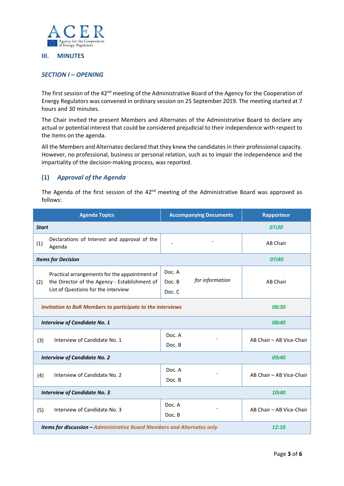

#### **III. MINUTES**

#### *SECTION I – OPENING*

The first session of the 42<sup>nd</sup> meeting of the Administrative Board of the Agency for the Cooperation of Energy Regulators was convened in ordinary session on 25 September 2019. The meeting started at 7 hours and 30 minutes.

The Chair invited the present Members and Alternates of the Administrative Board to declare any actual or potential interest that could be considered prejudicial to their independence with respect to the items on the agenda.

All the Members and Alternates declared that they knew the candidates in their professional capacity. However, no professional, business or personal relation, such as to impair the independence and the impartiality of the decision‐making process, was reported.

# **(1)** *Approval of the Agenda*

The Agenda of the first session of the  $42<sup>nd</sup>$  meeting of the Administrative Board was approved as follows:

| <b>Agenda Topics</b>                                                    |                                                                                                                                       | <b>Accompanying Documents</b>                 | <b>Rapporteur</b>        |  |
|-------------------------------------------------------------------------|---------------------------------------------------------------------------------------------------------------------------------------|-----------------------------------------------|--------------------------|--|
| <b>Start</b>                                                            |                                                                                                                                       |                                               | 07:30                    |  |
| (1)                                                                     | Declarations of Interest and approval of the<br>Agenda                                                                                | $\blacksquare$                                | AB Chair                 |  |
| <b>Items for Decision</b>                                               |                                                                                                                                       |                                               | 07.40                    |  |
| (2)                                                                     | Practical arrangements for the appointment of<br>the Director of the Agency - Establishment of<br>List of Questions for the interview | Doc. A<br>for information<br>Doc. B<br>Doc. C | <b>AB Chair</b>          |  |
| <b>Invitation to BoR Members to participate to the interviews</b>       |                                                                                                                                       |                                               | 08:30                    |  |
| <b>Interview of Candidate No. 1</b>                                     |                                                                                                                                       |                                               | 08:40                    |  |
| (3)                                                                     | Interview of Candidate No. 1                                                                                                          | Doc. A<br>Doc. B                              | AB Chair - AB Vice-Chair |  |
| <b>Interview of Candidate No. 2</b>                                     |                                                                                                                                       |                                               | 09:40                    |  |
| (4)                                                                     | Interview of Candidate No. 2                                                                                                          | Doc. A<br>Doc. B                              | AB Chair - AB Vice-Chair |  |
| <b>Interview of Candidate No. 3</b>                                     |                                                                                                                                       |                                               | 10:40                    |  |
| (5)                                                                     | Interview of Candidate No. 3                                                                                                          | Doc. A<br>Doc. B                              | AB Chair - AB Vice-Chair |  |
| Items for discussion - Administrative Board Members and Alternates only |                                                                                                                                       |                                               | 12:10                    |  |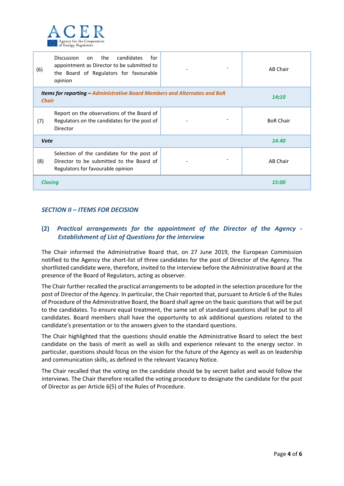

| (6)                                                                                                       | the<br>candidates<br>Discussion<br>for<br>on<br>appointment as Director to be submitted to<br>the Board of Regulators for favourable<br>opinion |       | <b>AB Chair</b>  |
|-----------------------------------------------------------------------------------------------------------|-------------------------------------------------------------------------------------------------------------------------------------------------|-------|------------------|
| <b>Items for reporting – Administrative Board Members and Alternates and BoR</b><br>14.10<br><b>Chair</b> |                                                                                                                                                 |       |                  |
| (7)                                                                                                       | Report on the observations of the Board of<br>Regulators on the candidates for the post of<br>Director                                          |       | <b>BoR Chair</b> |
| <b>Vote</b>                                                                                               |                                                                                                                                                 | 14.40 |                  |
| (8)                                                                                                       | Selection of the candidate for the post of<br>Director to be submitted to the Board of<br>Regulators for favourable opinion                     |       | <b>AB Chair</b>  |
| <b>Closing</b>                                                                                            |                                                                                                                                                 |       | 15:00            |

#### *SECTION II – ITEMS FOR DECISION*

# **(2)** *Practical arrangements for the appointment of the Director of the Agency ‐ Establishment of List of Questions for the interview*

The Chair informed the Administrative Board that, on 27 June 2019, the European Commission notified to the Agency the short‐list of three candidates for the post of Director of the Agency. The shortlisted candidate were, therefore, invited to the interview before the Administrative Board at the presence of the Board of Regulators, acting as observer.

The Chair further recalled the practical arrangements to be adopted in the selection procedure for the post of Director of the Agency. In particular, the Chair reported that, pursuant to Article 6 of the Rules of Procedure of the Administrative Board, the Board shall agree on the basic questions that will be put to the candidates. To ensure equal treatment, the same set of standard questions shall be put to all candidates. Board members shall have the opportunity to ask additional questions related to the candidate's presentation or to the answers given to the standard questions.

The Chair highlighted that the questions should enable the Administrative Board to select the best candidate on the basis of merit as well as skills and experience relevant to the energy sector. In particular, questions should focus on the vision for the future of the Agency as well as on leadership and communication skills, as defined in the relevant Vacancy Notice.

The Chair recalled that the voting on the candidate should be by secret ballot and would follow the interviews. The Chair therefore recalled the voting procedure to designate the candidate for the post of Director as per Article 6(5) of the Rules of Procedure.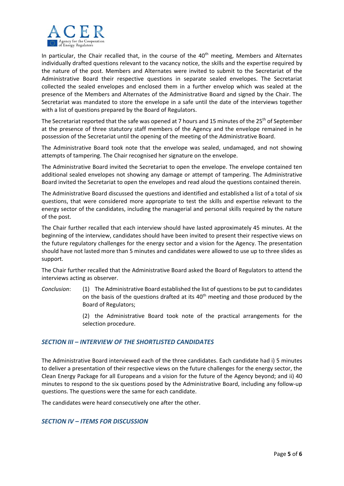

In particular, the Chair recalled that, in the course of the  $40<sup>th</sup>$  meeting. Members and Alternates individually drafted questions relevant to the vacancy notice, the skills and the expertise required by the nature of the post. Members and Alternates were invited to submit to the Secretariat of the Administrative Board their respective questions in separate sealed envelopes. The Secretariat collected the sealed envelopes and enclosed them in a further envelop which was sealed at the presence of the Members and Alternates of the Administrative Board and signed by the Chair. The Secretariat was mandated to store the envelope in a safe until the date of the interviews together with a list of questions prepared by the Board of Regulators.

The Secretariat reported that the safe was opened at 7 hours and 15 minutes of the 25<sup>th</sup> of September at the presence of three statutory staff members of the Agency and the envelope remained in he possession of the Secretariat until the opening of the meeting of the Administrative Board.

The Administrative Board took note that the envelope was sealed, undamaged, and not showing attempts of tampering. The Chair recognised her signature on the envelope.

The Administrative Board invited the Secretariat to open the envelope. The envelope contained ten additional sealed envelopes not showing any damage or attempt of tampering. The Administrative Board invited the Secretariat to open the envelopes and read aloud the questions contained therein.

The Administrative Board discussed the questions and identified and established a list of a total of six questions, that were considered more appropriate to test the skills and expertise relevant to the energy sector of the candidates, including the managerial and personal skills required by the nature of the post.

The Chair further recalled that each interview should have lasted approximately 45 minutes. At the beginning of the interview, candidates should have been invited to present their respective views on the future regulatory challenges for the energy sector and a vision for the Agency. The presentation should have not lasted more than 5 minutes and candidates were allowed to use up to three slides as support.

The Chair further recalled that the Administrative Board asked the Board of Regulators to attend the interviews acting as observer.

*Conclusion*: (1) The Administrative Board established the list of questions to be put to candidates on the basis of the questions drafted at its  $40<sup>th</sup>$  meeting and those produced by the Board of Regulators;

> (2) the Administrative Board took note of the practical arrangements for the selection procedure.

#### *SECTION III – INTERVIEW OF THE SHORTLISTED CANDIDATES*

The Administrative Board interviewed each of the three candidates. Each candidate had i) 5 minutes to deliver a presentation of their respective views on the future challenges for the energy sector, the Clean Energy Package for all Europeans and a vision for the future of the Agency beyond; and ii) 40 minutes to respond to the six questions posed by the Administrative Board, including any follow‐up questions. The questions were the same for each candidate.

The candidates were heard consecutively one after the other.

#### *SECTION IV – ITEMS FOR DISCUSSION*